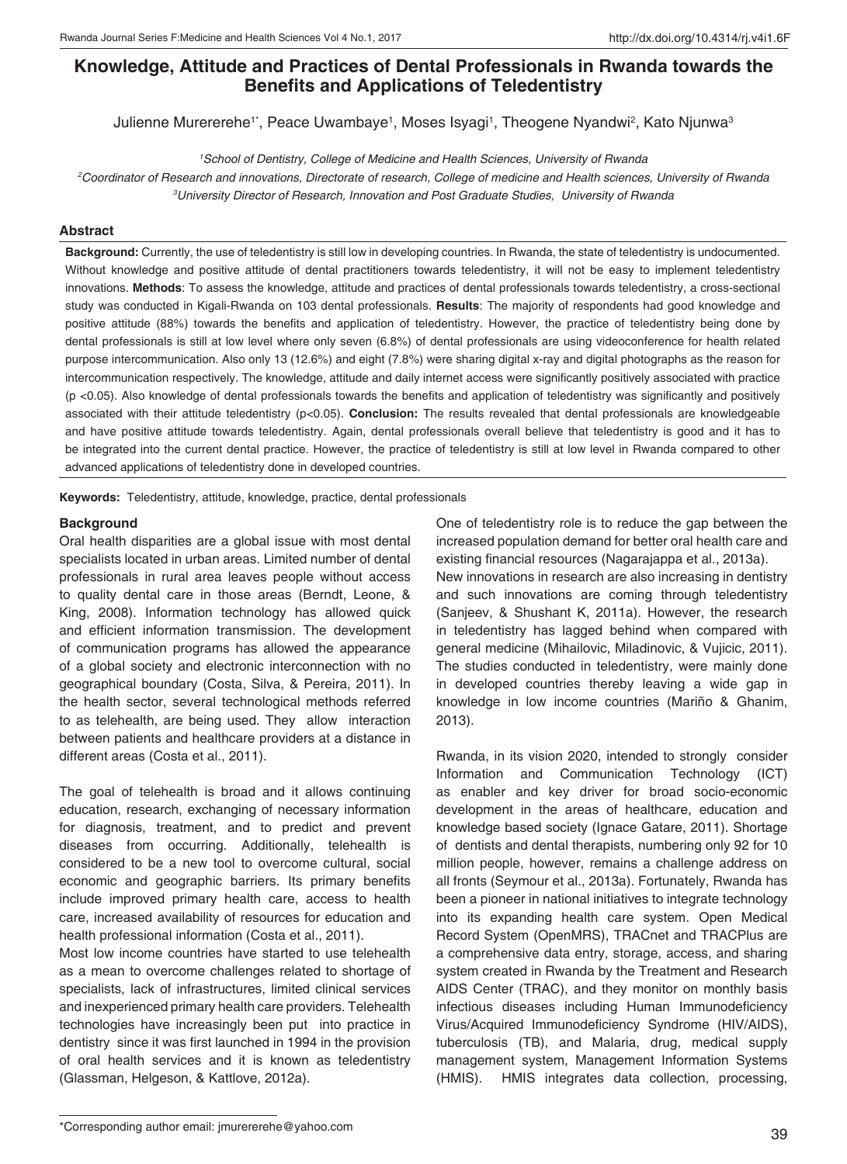# **Knowledge, Attitude and Practices of Dental Professionals in Rwanda towards the Benefits and Applications of Teledentistry**

Julienne Murererehe'†, Peace Uwambaye1, Moses Isyagi1, Theogene Nyandwi<sup>2</sup>, Kato Njunwa<sup>3</sup>

*1 School of Dentistry, College of Medicine and Health Sciences, University of Rwanda* 

*2 Coordinator of Research and innovations, Directorate of research, College of medicine and Health sciences, University of Rwanda 3 University Director of Research, Innovation and Post Graduate Studies, University of Rwanda*

#### **Abstract**

**Background:** Currently, the use of teledentistry is still low in developing countries. In Rwanda, the state of teledentistry is undocumented. Without knowledge and positive attitude of dental practitioners towards teledentistry, it will not be easy to implement teledentistry innovations. **Methods**: To assess the knowledge, attitude and practices of dental professionals towards teledentistry, a cross-sectional study was conducted in Kigali-Rwanda on 103 dental professionals. **Results**: The majority of respondents had good knowledge and positive attitude (88%) towards the benefits and application of teledentistry. However, the practice of teledentistry being done by dental professionals is still at low level where only seven (6.8%) of dental professionals are using videoconference for health related purpose intercommunication. Also only 13 (12.6%) and eight (7.8%) were sharing digital x-ray and digital photographs as the reason for intercommunication respectively. The knowledge, attitude and daily internet access were significantly positively associated with practice (p <0.05). Also knowledge of dental professionals towards the benefits and application of teledentistry was significantly and positively associated with their attitude teledentistry (p<0.05). **Conclusion:** The results revealed that dental professionals are knowledgeable and have positive attitude towards teledentistry. Again, dental professionals overall believe that teledentistry is good and it has to be integrated into the current dental practice. However, the practice of teledentistry is still at low level in Rwanda compared to other advanced applications of teledentistry done in developed countries.

**Keywords:**Teledentistry, attitude, knowledge, practice, dental professionals

#### **Background**

Oral health disparities are a global issue with most dental specialists located in urban areas. Limited number of dental professionals in rural area leaves people without access to quality dental care in those areas (Berndt, Leone, & King, 2008). Information technology has allowed quick and efficient information transmission. The development of communication programs has allowed the appearance of a global society and electronic interconnection with no geographical boundary (Costa, Silva, & Pereira, 2011). In the health sector, several technological methods referred to as telehealth, are being used. They allow interaction between patients and healthcare providers at a distance in different areas (Costa et al., 2011).

The goal of telehealth is broad and it allows continuing education, research, exchanging of necessary information for diagnosis, treatment, and to predict and prevent diseases from occurring. Additionally, telehealth is considered to be a new tool to overcome cultural, social economic and geographic barriers. Its primary benefits include improved primary health care, access to health care, increased availability of resources for education and health professional information (Costa et al., 2011).

Most low income countries have started to use telehealth as a mean to overcome challenges related to shortage of specialists, lack of infrastructures, limited clinical services and inexperienced primary health care providers. Telehealth technologies have increasingly been put into practice in dentistry since it was first launched in 1994 in the provision of oral health services and it is known as teledentistry (Glassman, Helgeson, & Kattlove, 2012a).

One of teledentistry role is to reduce the gap between the increased population demand for better oral health care and existing financial resources (Nagarajappa et al., 2013a). New innovations in research are also increasing in dentistry and such innovations are coming through teledentistry (Sanjeev, & Shushant K, 2011a). However, the research in teledentistry has lagged behind when compared with general medicine (Mihailovic, Miladinovic, & Vujicic, 2011). The studies conducted in teledentistry, were mainly done in developed countries thereby leaving a wide gap in knowledge in low income countries (Mariño & Ghanim, 2013).

Rwanda, in its vision 2020, intended to strongly consider Information and Communication Technology (ICT) as enabler and key driver for broad socio-economic development in the areas of healthcare, education and knowledge based society (Ignace Gatare, 2011). Shortage of dentists and dental therapists, numbering only 92 for 10 million people, however, remains a challenge address on all fronts (Seymour et al., 2013a). Fortunately, Rwanda has been a pioneer in national initiatives to integrate technology into its expanding health care system. Open Medical Record System (OpenMRS), TRACnet and TRACPlus are a comprehensive data entry, storage, access, and sharing system created in Rwanda by the Treatment and Research AIDS Center (TRAC), and they monitor on monthly basis infectious diseases including Human Immunodeficiency Virus/Acquired Immunodeficiency Syndrome (HIV/AIDS), tuberculosis (TB), and Malaria, drug, medical supply management system, Management Information Systems (HMIS). HMIS integrates data collection, processing,

<sup>\*</sup>Corresponding author email: jmurererehe@yahoo.com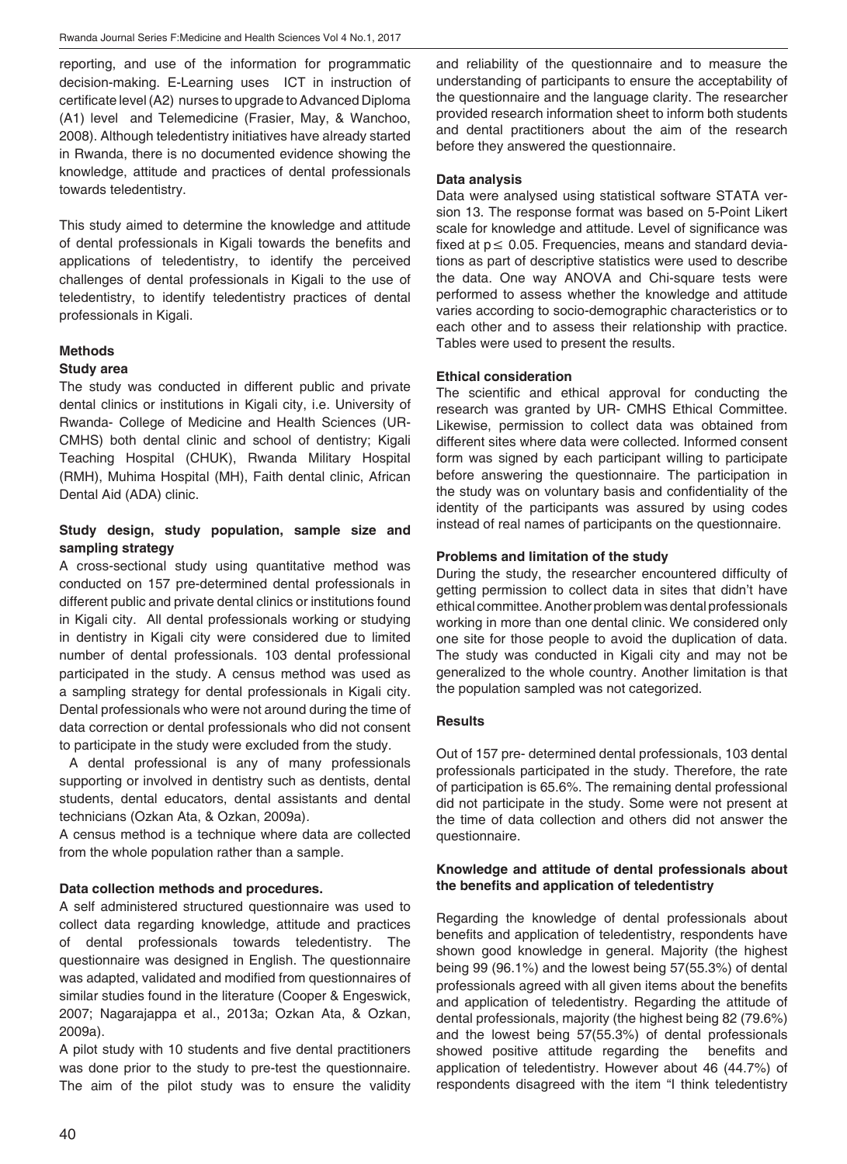reporting, and use of the information for programmatic decision-making. E-Learning uses ICT in instruction of certificate level (A2) nurses to upgrade to Advanced Diploma (A1) level and Telemedicine (Frasier, May, & Wanchoo, 2008). Although teledentistry initiatives have already started in Rwanda, there is no documented evidence showing the knowledge, attitude and practices of dental professionals towards teledentistry.

This study aimed to determine the knowledge and attitude of dental professionals in Kigali towards the benefits and applications of teledentistry, to identify the perceived challenges of dental professionals in Kigali to the use of teledentistry, to identify teledentistry practices of dental professionals in Kigali.

## **Methods**

## **Study area**

The study was conducted in different public and private dental clinics or institutions in Kigali city, i.e. University of Rwanda- College of Medicine and Health Sciences (UR-CMHS) both dental clinic and school of dentistry; Kigali Teaching Hospital (CHUK), Rwanda Military Hospital (RMH), Muhima Hospital (MH), Faith dental clinic, African Dental Aid (ADA) clinic.

# **Study design, study population, sample size and sampling strategy**

A cross-sectional study using quantitative method was conducted on 157 pre-determined dental professionals in different public and private dental clinics or institutions found in Kigali city. All dental professionals working or studying in dentistry in Kigali city were considered due to limited number of dental professionals. 103 dental professional participated in the study. A census method was used as a sampling strategy for dental professionals in Kigali city. Dental professionals who were not around during the time of data correction or dental professionals who did not consent to participate in the study were excluded from the study.

 A dental professional is any of many professionals supporting or involved in dentistry such as dentists, dental students, dental educators, dental assistants and dental technicians (Ozkan Ata, & Ozkan, 2009a)*.* 

A census method is a technique where data are collected from the whole population rather than a sample.

### **Data collection methods and procedures.**

A self administered structured questionnaire was used to collect data regarding knowledge, attitude and practices of dental professionals towards teledentistry. The questionnaire was designed in English. The questionnaire was adapted, validated and modified from questionnaires of similar studies found in the literature (Cooper & Engeswick, 2007; Nagarajappa et al., 2013a; Ozkan Ata, & Ozkan, 2009a).

A pilot study with 10 students and five dental practitioners was done prior to the study to pre-test the questionnaire. The aim of the pilot study was to ensure the validity and reliability of the questionnaire and to measure the understanding of participants to ensure the acceptability of the questionnaire and the language clarity. The researcher provided research information sheet to inform both students and dental practitioners about the aim of the research before they answered the questionnaire.

### **Data analysis**

Data were analysed using statistical software STATA version 13. The response format was based on 5-Point Likert scale for knowledge and attitude. Level of significance was fixed at  $p \leq 0.05$ . Frequencies, means and standard deviations as part of descriptive statistics were used to describe the data. One way ANOVA and Chi-square tests were performed to assess whether the knowledge and attitude varies according to socio-demographic characteristics or to each other and to assess their relationship with practice. Tables were used to present the results.

## **Ethical consideration**

The scientific and ethical approval for conducting the research was granted by UR- CMHS Ethical Committee. Likewise, permission to collect data was obtained from different sites where data were collected. Informed consent form was signed by each participant willing to participate before answering the questionnaire. The participation in the study was on voluntary basis and confidentiality of the identity of the participants was assured by using codes instead of real names of participants on the questionnaire.

### **Problems and limitation of the study**

During the study, the researcher encountered difficulty of getting permission to collect data in sites that didn't have ethical committee. Another problem was dental professionals working in more than one dental clinic. We considered only one site for those people to avoid the duplication of data. The study was conducted in Kigali city and may not be generalized to the whole country. Another limitation is that the population sampled was not categorized.

### **Results**

Out of 157 pre- determined dental professionals, 103 dental professionals participated in the study. Therefore, the rate of participation is 65.6%. The remaining dental professional did not participate in the study. Some were not present at the time of data collection and others did not answer the questionnaire.

### **Knowledge and attitude of dental professionals about the benefits and application of teledentistry**

Regarding the knowledge of dental professionals about benefits and application of teledentistry, respondents have shown good knowledge in general. Majority (the highest being 99 (96.1%) and the lowest being 57(55.3%) of dental professionals agreed with all given items about the benefits and application of teledentistry. Regarding the attitude of dental professionals, majority (the highest being 82 (79.6%) and the lowest being 57(55.3%) of dental professionals showed positive attitude regarding the benefits and application of teledentistry. However about 46 (44.7%) of respondents disagreed with the item "I think teledentistry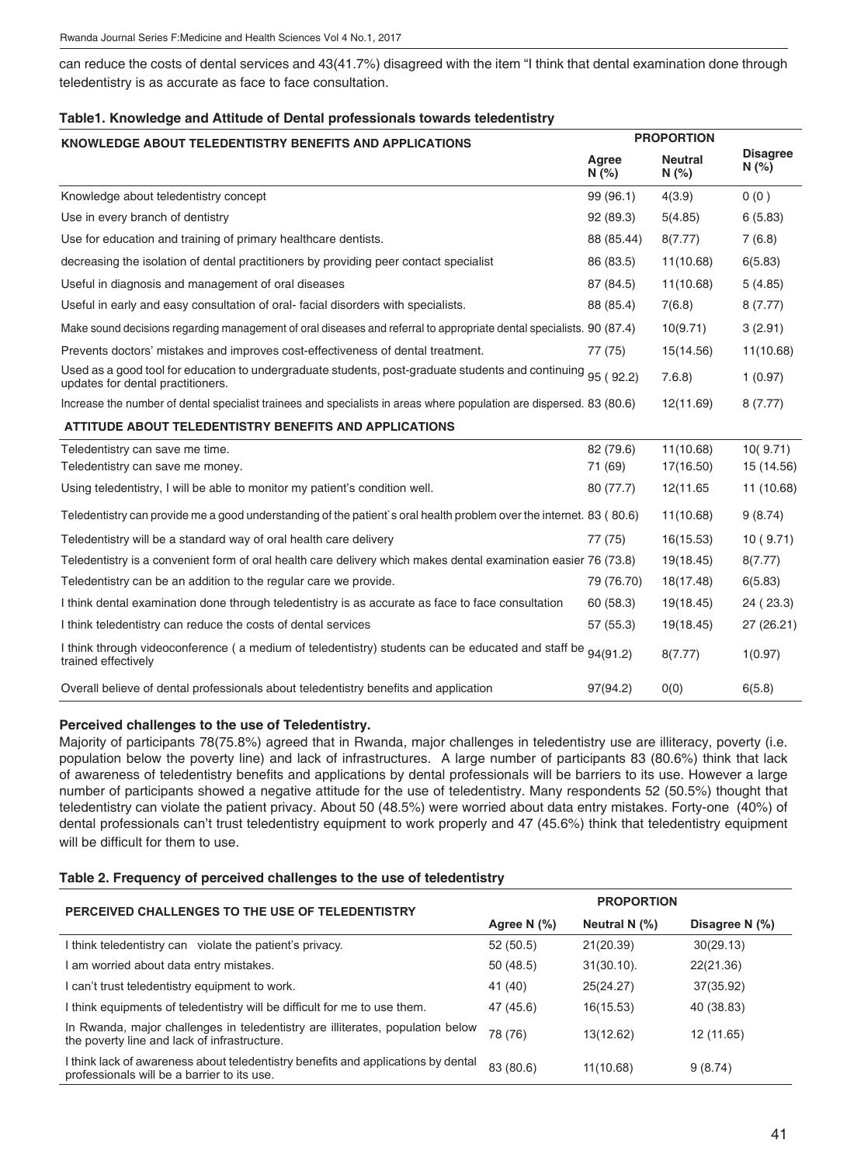can reduce the costs of dental services and 43(41.7%) disagreed with the item "I think that dental examination done through teledentistry is as accurate as face to face consultation.

## **Table1. Knowledge and Attitude of Dental professionals towards teledentistry**

| KNOWLEDGE ABOUT TELEDENTISTRY BENEFITS AND APPLICATIONS                                                                                           | <b>PROPORTION</b> |                        |                          |
|---------------------------------------------------------------------------------------------------------------------------------------------------|-------------------|------------------------|--------------------------|
|                                                                                                                                                   | Agree<br>N(%      | <b>Neutral</b><br>N(%) | <b>Disagree</b><br>N(% ) |
| Knowledge about teledentistry concept                                                                                                             | 99 (96.1)         | 4(3.9)                 | 0(0)                     |
| Use in every branch of dentistry                                                                                                                  | 92 (89.3)         | 5(4.85)                | 6(5.83)                  |
| Use for education and training of primary healthcare dentists.                                                                                    | 88 (85.44)        | 8(7.77)                | 7(6.8)                   |
| decreasing the isolation of dental practitioners by providing peer contact specialist                                                             | 86 (83.5)         | 11(10.68)              | 6(5.83)                  |
| Useful in diagnosis and management of oral diseases                                                                                               | 87 (84.5)         | 11(10.68)              | 5(4.85)                  |
| Useful in early and easy consultation of oral-facial disorders with specialists.                                                                  | 88 (85.4)         | 7(6.8)                 | 8(7.77)                  |
| Make sound decisions regarding management of oral diseases and referral to appropriate dental specialists. 90 (87.4)                              |                   | 10(9.71)               | 3(2.91)                  |
| Prevents doctors' mistakes and improves cost-effectiveness of dental treatment.                                                                   | 77 (75)           | 15(14.56)              | 11(10.68)                |
| Used as a good tool for education to undergraduate students, post-graduate students and continuing 95 (92.2)<br>updates for dental practitioners. |                   | 7.6.8                  | 1(0.97)                  |
| Increase the number of dental specialist trainees and specialists in areas where population are dispersed. 83 (80.6)                              |                   | 12(11.69)              | 8(7.77)                  |
| <b>ATTITUDE ABOUT TELEDENTISTRY BENEFITS AND APPLICATIONS</b>                                                                                     |                   |                        |                          |
| Teledentistry can save me time.                                                                                                                   | 82 (79.6)         | 11(10.68)              | 10(9.71)                 |
| Teledentistry can save me money.                                                                                                                  | 71 (69)           | 17(16.50)              | 15 (14.56)               |
| Using teledentistry, I will be able to monitor my patient's condition well.                                                                       | 80 (77.7)         | 12(11.65               | 11 (10.68)               |
| Teledentistry can provide me a good understanding of the patient's oral health problem over the internet. 83 (80.6)                               |                   | 11(10.68)              | 9(8.74)                  |
| Teledentistry will be a standard way of oral health care delivery                                                                                 | 77 (75)           | 16(15.53)              | 10(9.71)                 |
| Teledentistry is a convenient form of oral health care delivery which makes dental examination easier 76 (73.8)                                   |                   | 19(18.45)              | 8(7.77)                  |
| Teledentistry can be an addition to the regular care we provide.                                                                                  | 79 (76.70)        | 18(17.48)              | 6(5.83)                  |
| I think dental examination done through teledentistry is as accurate as face to face consultation                                                 | 60 (58.3)         | 19(18.45)              | 24 (23.3)                |
| I think teledentistry can reduce the costs of dental services                                                                                     | 57 (55.3)         | 19(18.45)              | 27 (26.21)               |
| I think through videoconference (a medium of teledentistry) students can be educated and staff be 94(91.2)<br>trained effectively                 |                   | 8(7.77)                | 1(0.97)                  |
| Overall believe of dental professionals about teledentistry benefits and application                                                              | 97(94.2)          | O(0)                   | 6(5.8)                   |

### **Perceived challenges to the use of Teledentistry.**

Majority of participants 78(75.8%) agreed that in Rwanda, major challenges in teledentistry use are illiteracy, poverty (i.e. population below the poverty line) and lack of infrastructures. A large number of participants 83 (80.6%) think that lack of awareness of teledentistry benefits and applications by dental professionals will be barriers to its use. However a large number of participants showed a negative attitude for the use of teledentistry. Many respondents 52 (50.5%) thought that teledentistry can violate the patient privacy. About 50 (48.5%) were worried about data entry mistakes. Forty-one (40%) of dental professionals can't trust teledentistry equipment to work properly and 47 (45.6%) think that teledentistry equipment will be difficult for them to use.

### **Table 2. Frequency of perceived challenges to the use of teledentistry**

| PERCEIVED CHALLENGES TO THE USE OF TELEDENTISTRY                                                                                 | <b>PROPORTION</b> |               |                |  |
|----------------------------------------------------------------------------------------------------------------------------------|-------------------|---------------|----------------|--|
|                                                                                                                                  | Agree N $(%)$     | Neutral N (%) | Disagree N (%) |  |
| I think teledentistry can violate the patient's privacy.                                                                         | 52(50.5)          | 21(20.39)     | 30(29.13)      |  |
| I am worried about data entry mistakes.                                                                                          | 50(48.5)          | $31(30.10)$ . | 22(21.36)      |  |
| I can't trust teledentistry equipment to work.                                                                                   | 41 (40)           | 25(24.27)     | 37(35.92)      |  |
| I think equipments of teledentistry will be difficult for me to use them.                                                        | 47 (45.6)         | 16(15.53)     | 40 (38.83)     |  |
| In Rwanda, major challenges in teledentistry are illiterates, population below<br>the poverty line and lack of infrastructure.   | 78 (76)           | 13(12.62)     | 12 (11.65)     |  |
| I think lack of awareness about teledentistry benefits and applications by dental<br>professionals will be a barrier to its use. | 83 (80.6)         | 11(10.68)     | 9(8.74)        |  |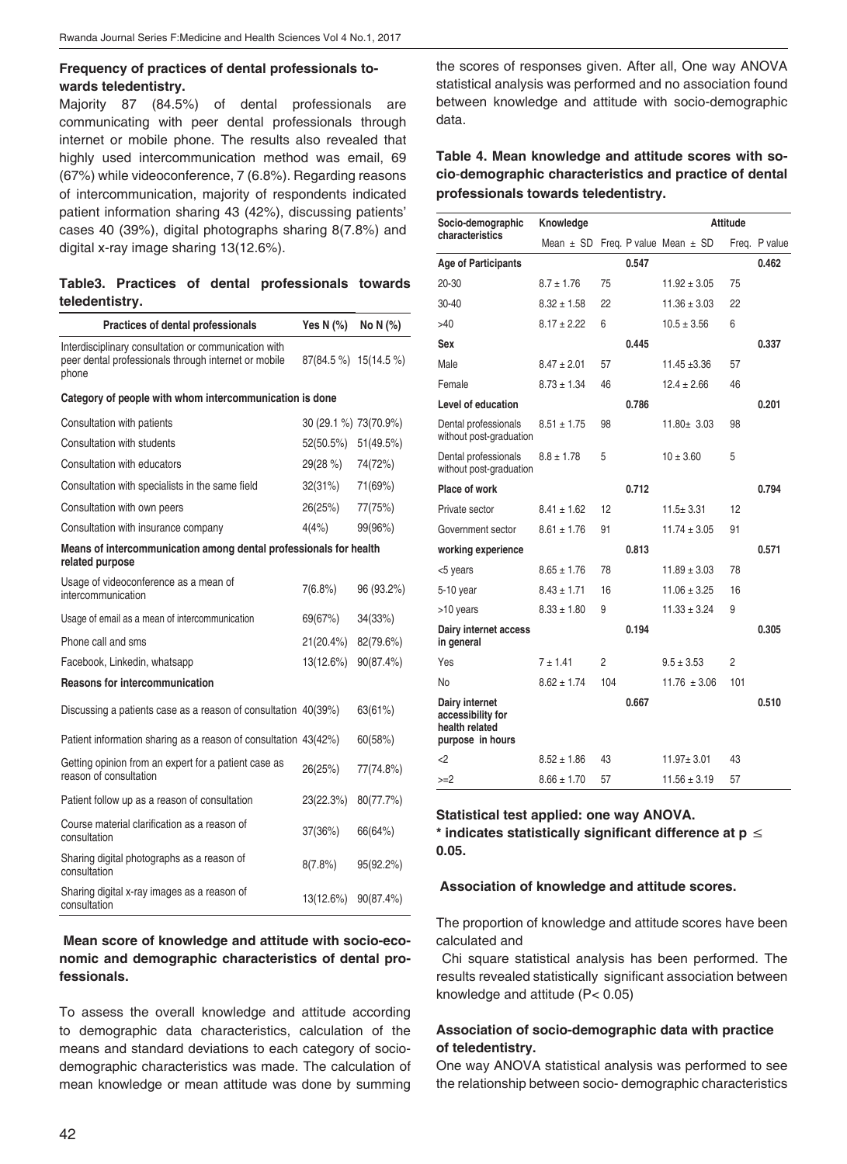# **Frequency of practices of dental professionals towards teledentistry.**

Majority 87 (84.5%) of dental professionals are communicating with peer dental professionals through internet or mobile phone. The results also revealed that highly used intercommunication method was email, 69 (67%) while videoconference, 7 (6.8%). Regarding reasons of intercommunication, majority of respondents indicated patient information sharing 43 (42%), discussing patients' cases 40 (39%), digital photographs sharing 8(7.8%) and digital x-ray image sharing 13(12.6%).

# **Table3. Practices of dental professionals towards teledentistry.**

| Practices of dental professionals                                                                                     | Yes N $(%)$           | No N (%)   |
|-----------------------------------------------------------------------------------------------------------------------|-----------------------|------------|
| Interdisciplinary consultation or communication with<br>peer dental professionals through internet or mobile<br>phone | 87(84.5 %) 15(14.5 %) |            |
| Category of people with whom intercommunication is done                                                               |                       |            |
| Consultation with patients                                                                                            | 30 (29.1 %) 73(70.9%) |            |
| Consultation with students                                                                                            | 52(50.5%)             | 51(49.5%)  |
| Consultation with educators                                                                                           | 29(28 %)              | 74(72%)    |
| Consultation with specialists in the same field                                                                       | 32(31%)               | 71(69%)    |
| Consultation with own peers                                                                                           | 26(25%)               | 77(75%)    |
| Consultation with insurance company                                                                                   | 4(4%)                 | 99(96%)    |
| Means of intercommunication among dental professionals for health<br>related purpose                                  |                       |            |
| Usage of videoconference as a mean of<br>intercommunication                                                           | $7(6.8\%)$            | 96 (93.2%) |
| Usage of email as a mean of intercommunication                                                                        | 69(67%)               | 34(33%)    |
| Phone call and sms                                                                                                    | 21(20.4%)             | 82(79.6%)  |
| Facebook, Linkedin, whatsapp                                                                                          | 13(12.6%)             | 90(87.4%)  |
| Reasons for intercommunication                                                                                        |                       |            |
| Discussing a patients case as a reason of consultation 40(39%)                                                        |                       | 63(61%)    |
| Patient information sharing as a reason of consultation 43(42%)                                                       |                       | 60(58%)    |
| Getting opinion from an expert for a patient case as<br>reason of consultation                                        | 26(25%)               | 77(74.8%)  |
| Patient follow up as a reason of consultation                                                                         | 23(22.3%)             | 80(77.7%)  |
| Course material clarification as a reason of<br>consultation                                                          | 37(36%)               | 66(64%)    |
| Sharing digital photographs as a reason of<br>consultation                                                            | 8(7.8%)               | 95(92.2%)  |
| Sharing digital x-ray images as a reason of<br>consultation                                                           | 13(12.6%)             | 90(87.4%)  |

# **Mean score of knowledge and attitude with socio-economic and demographic characteristics of dental professionals.**

To assess the overall knowledge and attitude according to demographic data characteristics, calculation of the means and standard deviations to each category of sociodemographic characteristics was made. The calculation of mean knowledge or mean attitude was done by summing the scores of responses given. After all, One way ANOVA statistical analysis was performed and no association found between knowledge and attitude with socio-demographic data.

# **Table 4. Mean knowledge and attitude scores with socio**-**demographic characteristics and practice of dental professionals towards teledentistry.**

| Socio-demographic                                                         | Knowledge       |     | <b>Attitude</b> |                         |       |         |
|---------------------------------------------------------------------------|-----------------|-----|-----------------|-------------------------|-------|---------|
| characteristics                                                           | Mean $\pm$ SD   |     |                 | Freq. P value Mean ± SD | Freg. | P value |
| <b>Age of Participants</b>                                                |                 |     | 0.547           |                         |       | 0.462   |
| $20 - 30$                                                                 | $8.7 \pm 1.76$  | 75  |                 | $11.92 \pm 3.05$        | 75    |         |
| $30 - 40$                                                                 | $8.32 \pm 1.58$ | 22  |                 | $11.36 \pm 3.03$        | 22    |         |
| >40                                                                       | $8.17 \pm 2.22$ | 6   |                 | $10.5 \pm 3.56$         | 6     |         |
| Sex                                                                       |                 |     | 0.445           |                         |       | 0.337   |
| Male                                                                      | $8.47 \pm 2.01$ | 57  |                 | $11.45 \pm 3.36$        | 57    |         |
| Female                                                                    | $8.73 \pm 1.34$ | 46  |                 | $12.4 \pm 2.66$         | 46    |         |
| Level of education                                                        |                 |     | 0.786           |                         |       | 0.201   |
| Dental professionals<br>without post-graduation                           | $8.51 \pm 1.75$ | 98  |                 | $11.80 + 3.03$          | 98    |         |
| Dental professionals<br>without post-graduation                           | $8.8 \pm 1.78$  | 5   |                 | $10 \pm 3.60$           | 5     |         |
| Place of work                                                             |                 |     | 0.712           |                         |       | 0.794   |
| Private sector                                                            | $8.41 \pm 1.62$ | 12  |                 | $11.5 + 3.31$           | 12    |         |
| Government sector                                                         | $8.61 \pm 1.76$ | 91  |                 | $11.74 \pm 3.05$        | 91    |         |
| working experience                                                        |                 |     | 0.813           |                         |       | 0.571   |
| <5 years                                                                  | $8.65 \pm 1.76$ | 78  |                 | $11.89 \pm 3.03$        | 78    |         |
| 5-10 year                                                                 | $8.43 \pm 1.71$ | 16  |                 | $11.06 \pm 3.25$        | 16    |         |
| >10 years                                                                 | $8.33 \pm 1.80$ | 9   |                 | $11.33 \pm 3.24$        | 9     |         |
| Dairy internet access<br>in general                                       |                 |     | 0.194           |                         |       | 0.305   |
| Yes                                                                       | $7 + 1.41$      | 2   |                 | $9.5 \pm 3.53$          | 2     |         |
| <b>No</b>                                                                 | $8.62 \pm 1.74$ | 104 |                 | $11.76 \pm 3.06$        | 101   |         |
| Dairy internet<br>accessibility for<br>health related<br>purpose in hours |                 |     | 0.667           |                         |       | 0.510   |
| $\mathbf{<}2$                                                             | $8.52 \pm 1.86$ | 43  |                 | $11.97 + 3.01$          | 43    |         |
| $>= 2$                                                                    | $8.66 \pm 1.70$ | 57  |                 | $11.56 \pm 3.19$        | 57    |         |

**Statistical test applied: one way ANOVA. \* indicates statistically significant difference at p ≤ 0.05.**

### **Association of knowledge and attitude scores.**

The proportion of knowledge and attitude scores have been calculated and

 Chi square statistical analysis has been performed. The results revealed statistically significant association between knowledge and attitude (P< 0.05)

# **Association of socio-demographic data with practice of teledentistry.**

One way ANOVA statistical analysis was performed to see the relationship between socio- demographic characteristics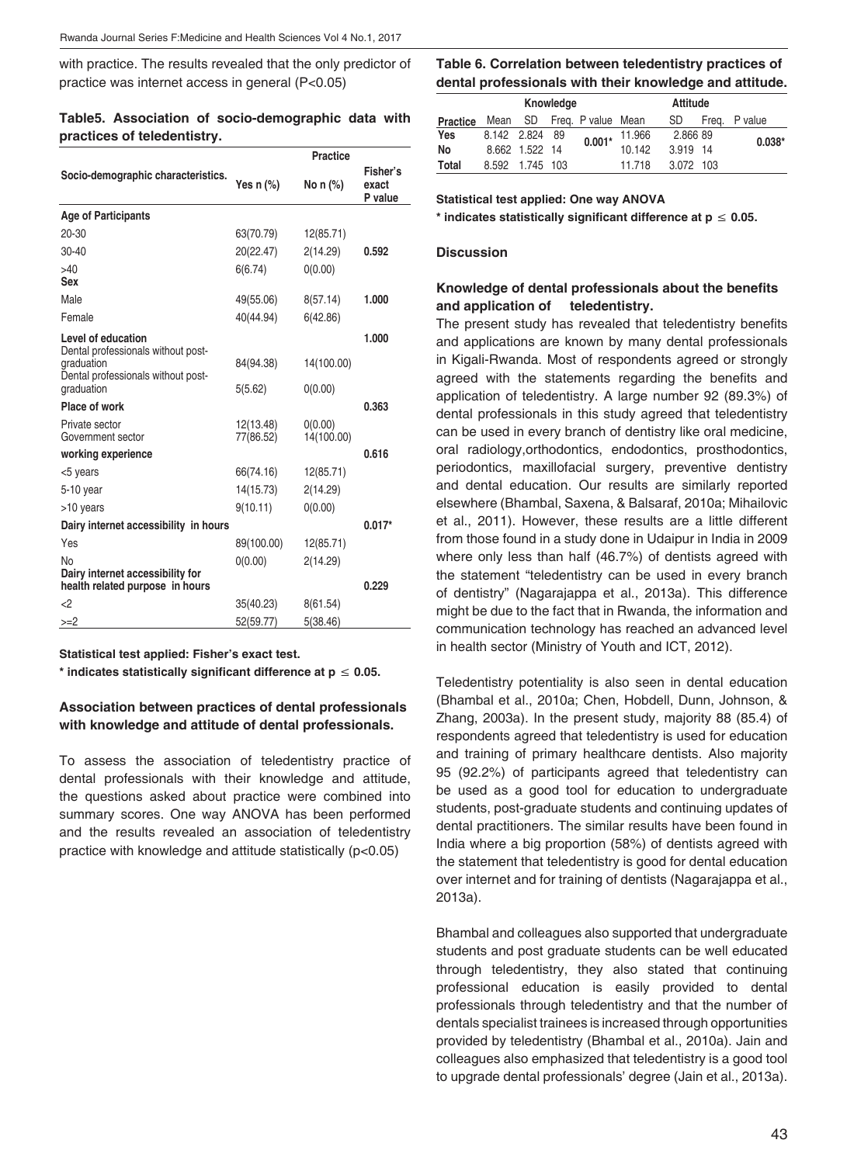with practice. The results revealed that the only predictor of practice was internet access in general (P<0.05)

### **Table5. Association of socio-demographic data with practices of teledentistry.**

|                                                                     | <b>Practice</b>        |                       |                              |  |
|---------------------------------------------------------------------|------------------------|-----------------------|------------------------------|--|
| Socio-demographic characteristics.                                  | Yes $n$ $%$            | No n $(\%)$           | Fisher's<br>exact<br>P value |  |
| <b>Age of Participants</b>                                          |                        |                       |                              |  |
| 20-30                                                               | 63(70.79)              | 12(85.71)             |                              |  |
| $30 - 40$                                                           | 20(22.47)              | 2(14.29)              | 0.592                        |  |
| >40<br>Sex                                                          | 6(6.74)                | 0(0.00)               |                              |  |
| Male                                                                | 49(55.06)              | 8(57.14)              | 1.000                        |  |
| Female                                                              | 40(44.94)              | 6(42.86)              |                              |  |
| Level of education<br>Dental professionals without post-            |                        |                       | 1.000                        |  |
| graduation                                                          | 84(94.38)              | 14(100.00)            |                              |  |
| Dental professionals without post-<br>graduation                    | 5(5.62)                | 0(0.00)               |                              |  |
| Place of work                                                       |                        |                       | 0.363                        |  |
| Private sector<br>Government sector                                 | 12(13.48)<br>77(86.52) | 0(0.00)<br>14(100.00) |                              |  |
| working experience                                                  |                        |                       | 0.616                        |  |
| <5 years                                                            | 66(74.16)              | 12(85.71)             |                              |  |
| 5-10 year                                                           | 14(15.73)              | 2(14.29)              |                              |  |
| >10 years                                                           | 9(10.11)               | 0(0.00)               |                              |  |
| Dairy internet accessibility in hours                               |                        |                       | $0.017*$                     |  |
| Yes                                                                 | 89(100.00)             | 12(85.71)             |                              |  |
| No                                                                  | 0(0.00)                | 2(14.29)              |                              |  |
| Dairy internet accessibility for<br>health related purpose in hours |                        |                       | 0.229                        |  |
| <                                                                   | 35(40.23)              | 8(61.54)              |                              |  |
| $>=2$                                                               | 52(59.77)              | 5(38.46)              |                              |  |

**Statistical test applied: Fisher's exact test.**

**\* indicates statistically significant difference at p ≤ 0.05.**

# **Association between practices of dental professionals with knowledge and attitude of dental professionals.**

To assess the association of teledentistry practice of dental professionals with their knowledge and attitude, the questions asked about practice were combined into summary scores. One way ANOVA has been performed and the results revealed an association of teledentistry practice with knowledge and attitude statistically (p<0.05)

## **Table 6. Correlation between teledentistry practices of dental professionals with their knowledge and attitude.**

|                                            | Knowledge       |                |  |  | Attitude                  |           |  |               |
|--------------------------------------------|-----------------|----------------|--|--|---------------------------|-----------|--|---------------|
| <b>Practice</b> Mean SD Freq. P value Mean |                 |                |  |  |                           | SD        |  | Freg. P value |
| Yes                                        | 8.142 2.824 89  |                |  |  | $0.001*$ 11.966<br>10.142 | 2.866 89  |  | $0.038*$      |
| No                                         |                 | 8.662 1.522 14 |  |  |                           | 3.919 14  |  |               |
| Total                                      | 8.592 1.745 103 |                |  |  | 11.718                    | 3.072 103 |  |               |

#### **Statistical test applied: One way ANOVA**

**\* indicates statistically significant difference at p ≤ 0.05.**

#### **Discussion**

# **Knowledge of dental professionals about the benefits and application of teledentistry.**

The present study has revealed that teledentistry benefits and applications are known by many dental professionals in Kigali-Rwanda. Most of respondents agreed or strongly agreed with the statements regarding the benefits and application of teledentistry. A large number 92 (89.3%) of dental professionals in this study agreed that teledentistry can be used in every branch of dentistry like oral medicine, oral radiology,orthodontics, endodontics, prosthodontics, periodontics, maxillofacial surgery, preventive dentistry and dental education. Our results are similarly reported elsewhere (Bhambal, Saxena, & Balsaraf, 2010a; Mihailovic et al., 2011). However, these results are a little different from those found in a study done in Udaipur in India in 2009 where only less than half (46.7%) of dentists agreed with the statement "teledentistry can be used in every branch of dentistry" (Nagarajappa et al., 2013a). This difference might be due to the fact that in Rwanda, the information and communication technology has reached an advanced level in health sector (Ministry of Youth and ICT, 2012).

Teledentistry potentiality is also seen in dental education (Bhambal et al., 2010a; Chen, Hobdell, Dunn, Johnson, & Zhang, 2003a). In the present study, majority 88 (85.4) of respondents agreed that teledentistry is used for education and training of primary healthcare dentists. Also majority 95 (92.2%) of participants agreed that teledentistry can be used as a good tool for education to undergraduate students, post-graduate students and continuing updates of dental practitioners. The similar results have been found in India where a big proportion (58%) of dentists agreed with the statement that teledentistry is good for dental education over internet and for training of dentists (Nagarajappa et al., 2013a).

Bhambal and colleagues also supported that undergraduate students and post graduate students can be well educated through teledentistry, they also stated that continuing professional education is easily provided to dental professionals through teledentistry and that the number of dentals specialist trainees is increased through opportunities provided by teledentistry (Bhambal et al., 2010a). Jain and colleagues also emphasized that teledentistry is a good tool to upgrade dental professionals' degree (Jain et al., 2013a).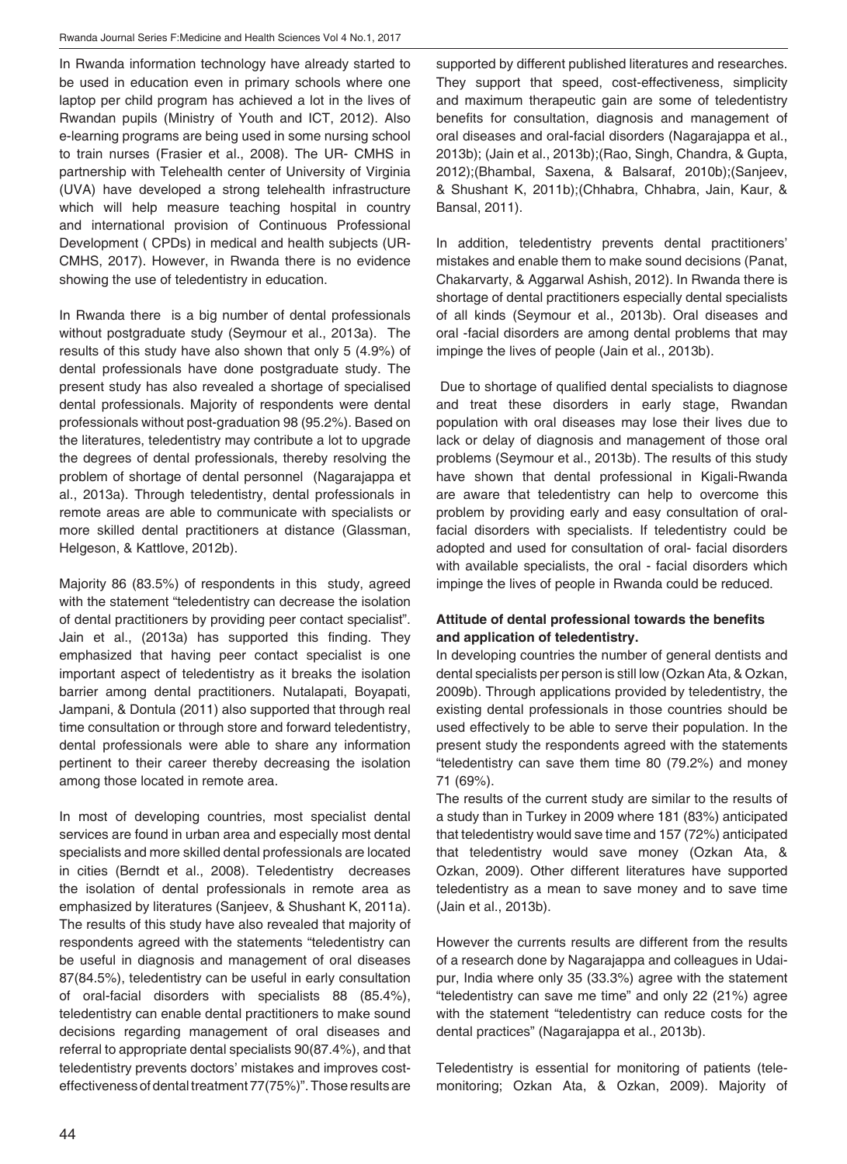In Rwanda information technology have already started to be used in education even in primary schools where one laptop per child program has achieved a lot in the lives of Rwandan pupils (Ministry of Youth and ICT, 2012). Also e-learning programs are being used in some nursing school to train nurses (Frasier et al., 2008). The UR- CMHS in partnership with Telehealth center of University of Virginia (UVA) have developed a strong telehealth infrastructure which will help measure teaching hospital in country and international provision of Continuous Professional Development ( CPDs) in medical and health subjects (UR-CMHS, 2017). However, in Rwanda there is no evidence showing the use of teledentistry in education.

In Rwanda there is a big number of dental professionals without postgraduate study (Seymour et al., 2013a). The results of this study have also shown that only 5 (4.9%) of dental professionals have done postgraduate study. The present study has also revealed a shortage of specialised dental professionals. Majority of respondents were dental professionals without post-graduation 98 (95.2%). Based on the literatures, teledentistry may contribute a lot to upgrade the degrees of dental professionals, thereby resolving the problem of shortage of dental personnel (Nagarajappa et al., 2013a). Through teledentistry, dental professionals in remote areas are able to communicate with specialists or more skilled dental practitioners at distance (Glassman, Helgeson, & Kattlove, 2012b).

Majority 86 (83.5%) of respondents in this study, agreed with the statement "teledentistry can decrease the isolation of dental practitioners by providing peer contact specialist". Jain et al., (2013a) has supported this finding. They emphasized that having peer contact specialist is one important aspect of teledentistry as it breaks the isolation barrier among dental practitioners. Nutalapati, Boyapati, Jampani, & Dontula (2011) also supported that through real time consultation or through store and forward teledentistry, dental professionals were able to share any information pertinent to their career thereby decreasing the isolation among those located in remote area.

In most of developing countries, most specialist dental services are found in urban area and especially most dental specialists and more skilled dental professionals are located in cities (Berndt et al., 2008). Teledentistry decreases the isolation of dental professionals in remote area as emphasized by literatures (Sanjeev, & Shushant K, 2011a). The results of this study have also revealed that majority of respondents agreed with the statements "teledentistry can be useful in diagnosis and management of oral diseases 87(84.5%), teledentistry can be useful in early consultation of oral-facial disorders with specialists 88 (85.4%), teledentistry can enable dental practitioners to make sound decisions regarding management of oral diseases and referral to appropriate dental specialists 90(87.4%), and that teledentistry prevents doctors' mistakes and improves costeffectiveness of dental treatment 77(75%)". Those results are supported by different published literatures and researches. They support that speed, cost-effectiveness, simplicity and maximum therapeutic gain are some of teledentistry benefits for consultation, diagnosis and management of oral diseases and oral-facial disorders (Nagarajappa et al., 2013b); (Jain et al., 2013b);(Rao, Singh, Chandra, & Gupta, 2012);(Bhambal, Saxena, & Balsaraf, 2010b);(Sanjeev, & Shushant K, 2011b);(Chhabra, Chhabra, Jain, Kaur, & Bansal, 2011).

In addition, teledentistry prevents dental practitioners' mistakes and enable them to make sound decisions (Panat, Chakarvarty, & Aggarwal Ashish, 2012). In Rwanda there is shortage of dental practitioners especially dental specialists of all kinds (Seymour et al., 2013b). Oral diseases and oral -facial disorders are among dental problems that may impinge the lives of people (Jain et al., 2013b).

 Due to shortage of qualified dental specialists to diagnose and treat these disorders in early stage, Rwandan population with oral diseases may lose their lives due to lack or delay of diagnosis and management of those oral problems (Seymour et al., 2013b). The results of this study have shown that dental professional in Kigali-Rwanda are aware that teledentistry can help to overcome this problem by providing early and easy consultation of oralfacial disorders with specialists. If teledentistry could be adopted and used for consultation of oral- facial disorders with available specialists, the oral - facial disorders which impinge the lives of people in Rwanda could be reduced.

# **Attitude of dental professional towards the benefits and application of teledentistry.**

In developing countries the number of general dentists and dental specialists per person is still low (Ozkan Ata, & Ozkan, 2009b). Through applications provided by teledentistry, the existing dental professionals in those countries should be used effectively to be able to serve their population. In the present study the respondents agreed with the statements "teledentistry can save them time 80 (79.2%) and money 71 (69%).

The results of the current study are similar to the results of a study than in Turkey in 2009 where 181 (83%) anticipated that teledentistry would save time and 157 (72%) anticipated that teledentistry would save money (Ozkan Ata, & Ozkan, 2009). Other different literatures have supported teledentistry as a mean to save money and to save time (Jain et al., 2013b).

However the currents results are different from the results of a research done by Nagarajappa and colleagues in Udaipur, India where only 35 (33.3%) agree with the statement "teledentistry can save me time" and only 22 (21%) agree with the statement "teledentistry can reduce costs for the dental practices" (Nagarajappa et al., 2013b).

Teledentistry is essential for monitoring of patients (telemonitoring; Ozkan Ata, & Ozkan, 2009). Majority of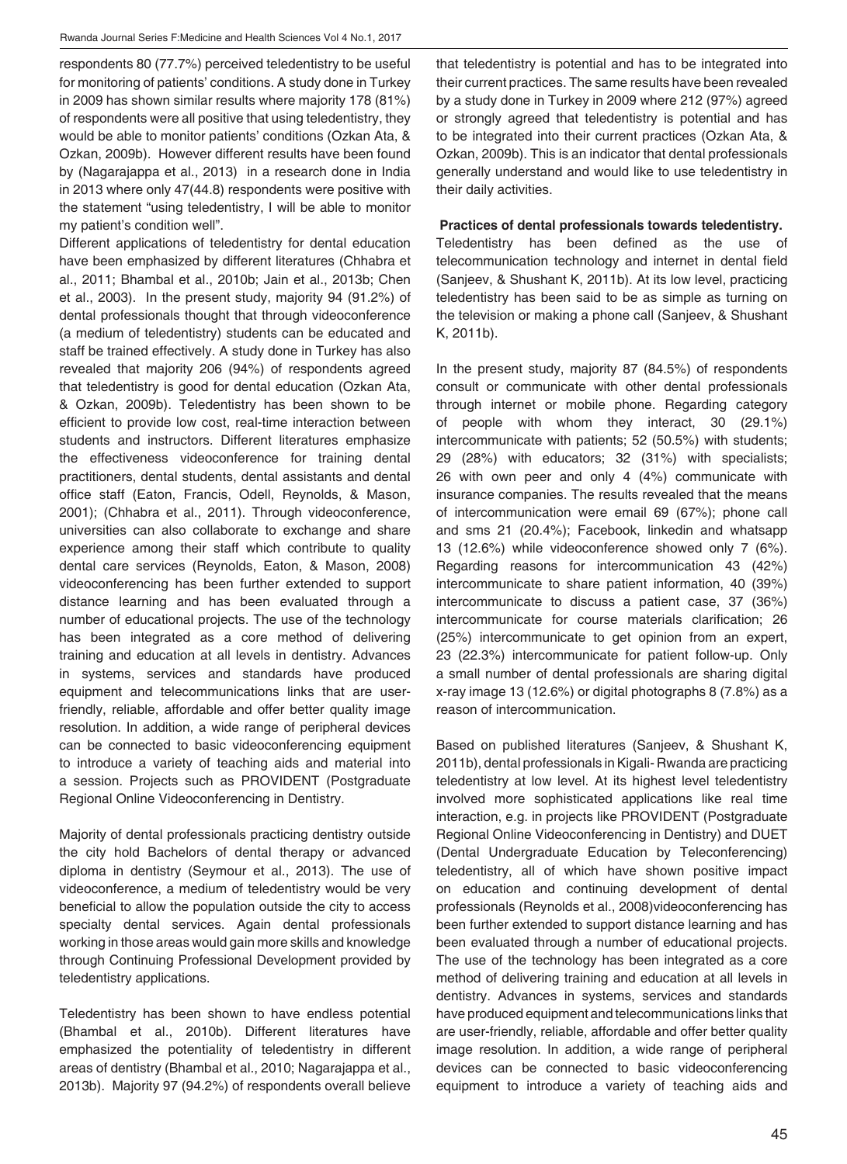respondents 80 (77.7%) perceived teledentistry to be useful for monitoring of patients' conditions. A study done in Turkey in 2009 has shown similar results where majority 178 (81%) of respondents were all positive that using teledentistry, they would be able to monitor patients' conditions (Ozkan Ata, & Ozkan, 2009b). However different results have been found by (Nagarajappa et al., 2013) in a research done in India in 2013 where only 47(44.8) respondents were positive with the statement "using teledentistry, I will be able to monitor my patient's condition well".

Different applications of teledentistry for dental education have been emphasized by different literatures (Chhabra et al., 2011; Bhambal et al., 2010b; Jain et al., 2013b; Chen et al., 2003). In the present study, majority 94 (91.2%) of dental professionals thought that through videoconference (a medium of teledentistry) students can be educated and staff be trained effectively. A study done in Turkey has also revealed that majority 206 (94%) of respondents agreed that teledentistry is good for dental education (Ozkan Ata, & Ozkan, 2009b). Teledentistry has been shown to be efficient to provide low cost, real-time interaction between students and instructors. Different literatures emphasize the effectiveness videoconference for training dental practitioners, dental students, dental assistants and dental office staff (Eaton, Francis, Odell, Reynolds, & Mason, 2001); (Chhabra et al., 2011). Through videoconference, universities can also collaborate to exchange and share experience among their staff which contribute to quality dental care services (Reynolds, Eaton, & Mason, 2008) videoconferencing has been further extended to support distance learning and has been evaluated through a number of educational projects. The use of the technology has been integrated as a core method of delivering training and education at all levels in dentistry. Advances in systems, services and standards have produced equipment and telecommunications links that are userfriendly, reliable, affordable and offer better quality image resolution. In addition, a wide range of peripheral devices can be connected to basic videoconferencing equipment to introduce a variety of teaching aids and material into a session. Projects such as PROVIDENT (Postgraduate Regional Online Videoconferencing in Dentistry.

Majority of dental professionals practicing dentistry outside the city hold Bachelors of dental therapy or advanced diploma in dentistry (Seymour et al., 2013). The use of videoconference, a medium of teledentistry would be very beneficial to allow the population outside the city to access specialty dental services. Again dental professionals working in those areas would gain more skills and knowledge through Continuing Professional Development provided by teledentistry applications.

Teledentistry has been shown to have endless potential (Bhambal et al., 2010b). Different literatures have emphasized the potentiality of teledentistry in different areas of dentistry (Bhambal et al., 2010; Nagarajappa et al., 2013b). Majority 97 (94.2%) of respondents overall believe that teledentistry is potential and has to be integrated into their current practices. The same results have been revealed by a study done in Turkey in 2009 where 212 (97%) agreed or strongly agreed that teledentistry is potential and has to be integrated into their current practices (Ozkan Ata, & Ozkan, 2009b). This is an indicator that dental professionals generally understand and would like to use teledentistry in their daily activities.

### **Practices of dental professionals towards teledentistry.**

Teledentistry has been defined as the use of telecommunication technology and internet in dental field (Sanjeev, & Shushant K, 2011b). At its low level, practicing teledentistry has been said to be as simple as turning on the television or making a phone call (Sanjeev, & Shushant K, 2011b).

In the present study, majority 87 (84.5%) of respondents consult or communicate with other dental professionals through internet or mobile phone. Regarding category of people with whom they interact, 30 (29.1%) intercommunicate with patients; 52 (50.5%) with students; 29 (28%) with educators; 32 (31%) with specialists; 26 with own peer and only 4 (4%) communicate with insurance companies. The results revealed that the means of intercommunication were email 69 (67%); phone call and sms 21 (20.4%); Facebook, linkedin and whatsapp 13 (12.6%) while videoconference showed only 7 (6%). Regarding reasons for intercommunication 43 (42%) intercommunicate to share patient information, 40 (39%) intercommunicate to discuss a patient case, 37 (36%) intercommunicate for course materials clarification; 26 (25%) intercommunicate to get opinion from an expert, 23 (22.3%) intercommunicate for patient follow-up. Only a small number of dental professionals are sharing digital x-ray image 13 (12.6%) or digital photographs 8 (7.8%) as a reason of intercommunication.

Based on published literatures (Sanjeev, & Shushant K, 2011b), dental professionals in Kigali- Rwanda are practicing teledentistry at low level. At its highest level teledentistry involved more sophisticated applications like real time interaction, e.g. in projects like PROVIDENT (Postgraduate Regional Online Videoconferencing in Dentistry) and DUET (Dental Undergraduate Education by Teleconferencing) teledentistry, all of which have shown positive impact on education and continuing development of dental professionals (Reynolds et al., 2008)videoconferencing has been further extended to support distance learning and has been evaluated through a number of educational projects. The use of the technology has been integrated as a core method of delivering training and education at all levels in dentistry. Advances in systems, services and standards have produced equipment and telecommunications links that are user-friendly, reliable, affordable and offer better quality image resolution. In addition, a wide range of peripheral devices can be connected to basic videoconferencing equipment to introduce a variety of teaching aids and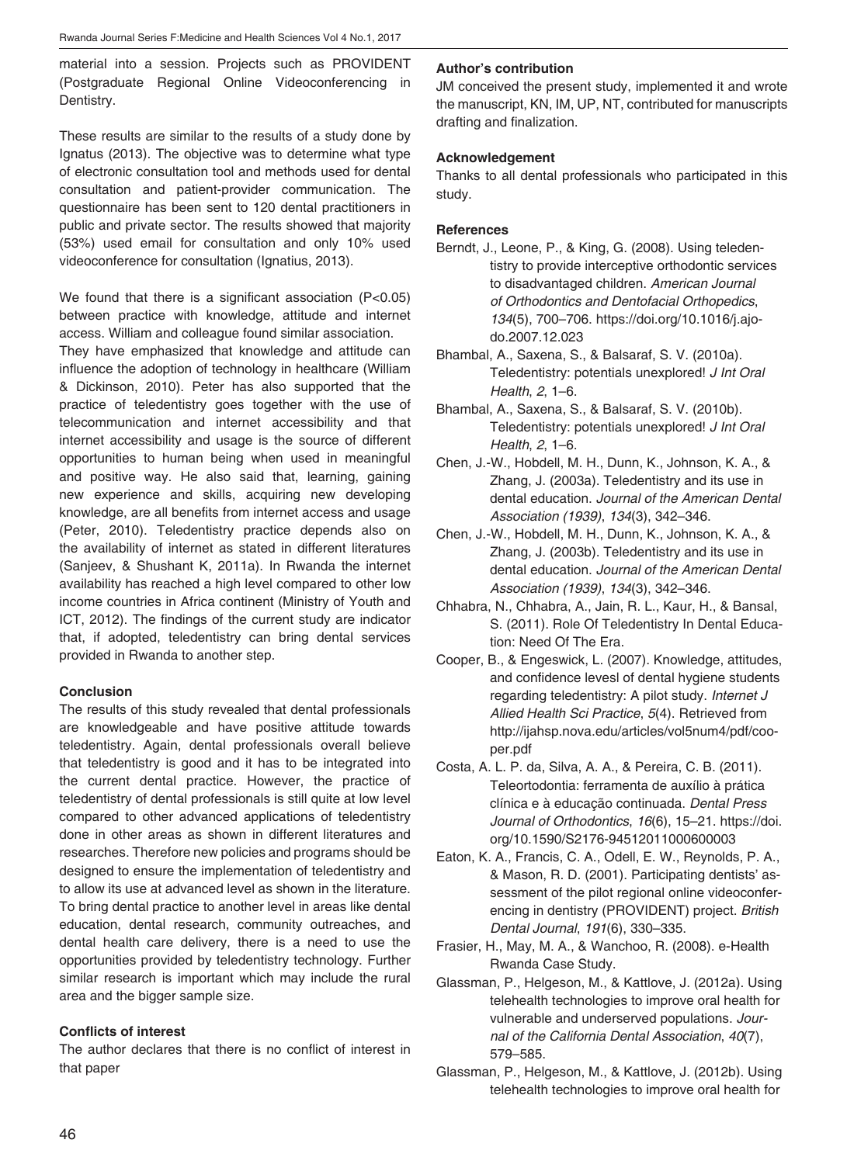material into a session. Projects such as PROVIDENT (Postgraduate Regional Online Videoconferencing in Dentistry.

These results are similar to the results of a study done by Ignatus (2013). The objective was to determine what type of electronic consultation tool and methods used for dental consultation and patient-provider communication. The questionnaire has been sent to 120 dental practitioners in public and private sector. The results showed that majority (53%) used email for consultation and only 10% used videoconference for consultation (Ignatius, 2013).

We found that there is a significant association (P<0.05) between practice with knowledge, attitude and internet access. William and colleague found similar association.

They have emphasized that knowledge and attitude can influence the adoption of technology in healthcare (William & Dickinson, 2010). Peter has also supported that the practice of teledentistry goes together with the use of telecommunication and internet accessibility and that internet accessibility and usage is the source of different opportunities to human being when used in meaningful and positive way. He also said that, learning, gaining new experience and skills, acquiring new developing knowledge, are all benefits from internet access and usage (Peter, 2010). Teledentistry practice depends also on the availability of internet as stated in different literatures (Sanjeev, & Shushant K, 2011a). In Rwanda the internet availability has reached a high level compared to other low income countries in Africa continent (Ministry of Youth and ICT, 2012). The findings of the current study are indicator that, if adopted, teledentistry can bring dental services provided in Rwanda to another step.

### **Conclusion**

The results of this study revealed that dental professionals are knowledgeable and have positive attitude towards teledentistry. Again, dental professionals overall believe that teledentistry is good and it has to be integrated into the current dental practice. However, the practice of teledentistry of dental professionals is still quite at low level compared to other advanced applications of teledentistry done in other areas as shown in different literatures and researches. Therefore new policies and programs should be designed to ensure the implementation of teledentistry and to allow its use at advanced level as shown in the literature. To bring dental practice to another level in areas like dental education, dental research, community outreaches, and dental health care delivery, there is a need to use the opportunities provided by teledentistry technology. Further similar research is important which may include the rural area and the bigger sample size.

### **Conflicts of interest**

The author declares that there is no conflict of interest in that paper

# **Author's contribution**

JM conceived the present study, implemented it and wrote the manuscript, KN, IM, UP, NT, contributed for manuscripts drafting and finalization.

#### **Acknowledgement**

Thanks to all dental professionals who participated in this study.

### **References**

- Berndt, J., Leone, P., & King, G. (2008). Using teledentistry to provide interceptive orthodontic services to disadvantaged children. *American Journal of Orthodontics and Dentofacial Orthopedics*, *134*(5), 700–706. https://doi.org/10.1016/j.ajodo.2007.12.023
- Bhambal, A., Saxena, S., & Balsaraf, S. V. (2010a). Teledentistry: potentials unexplored! *J Int Oral Health*, *2*, 1–6.
- Bhambal, A., Saxena, S., & Balsaraf, S. V. (2010b). Teledentistry: potentials unexplored! *J Int Oral Health*, *2*, 1–6.
- Chen, J.-W., Hobdell, M. H., Dunn, K., Johnson, K. A., & Zhang, J. (2003a). Teledentistry and its use in dental education. *Journal of the American Dental Association (1939)*, *134*(3), 342–346.
- Chen, J.-W., Hobdell, M. H., Dunn, K., Johnson, K. A., & Zhang, J. (2003b). Teledentistry and its use in dental education. *Journal of the American Dental Association (1939)*, *134*(3), 342–346.
- Chhabra, N., Chhabra, A., Jain, R. L., Kaur, H., & Bansal, S. (2011). Role Of Teledentistry In Dental Education: Need Of The Era.
- Cooper, B., & Engeswick, L. (2007). Knowledge, attitudes, and confidence levesl of dental hygiene students regarding teledentistry: A pilot study. *Internet J Allied Health Sci Practice*, *5*(4). Retrieved from http://ijahsp.nova.edu/articles/vol5num4/pdf/cooper.pdf
- Costa, A. L. P. da, Silva, A. A., & Pereira, C. B. (2011). Teleortodontia: ferramenta de auxílio à prática clínica e à educação continuada. *Dental Press Journal of Orthodontics*, *16*(6), 15–21. https://doi. org/10.1590/S2176-94512011000600003
- Eaton, K. A., Francis, C. A., Odell, E. W., Reynolds, P. A., & Mason, R. D. (2001). Participating dentists' assessment of the pilot regional online videoconferencing in dentistry (PROVIDENT) project. *British Dental Journal*, *191*(6), 330–335.
- Frasier, H., May, M. A., & Wanchoo, R. (2008). e-Health Rwanda Case Study.
- Glassman, P., Helgeson, M., & Kattlove, J. (2012a). Using telehealth technologies to improve oral health for vulnerable and underserved populations. *Journal of the California Dental Association*, *40*(7), 579–585.
- Glassman, P., Helgeson, M., & Kattlove, J. (2012b). Using telehealth technologies to improve oral health for